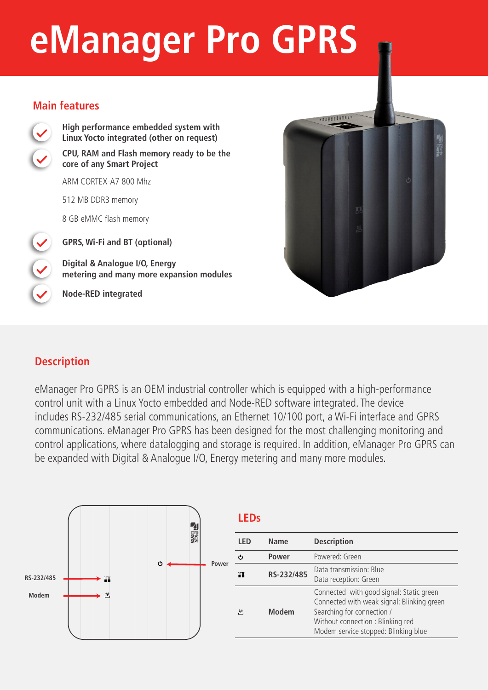# **eManager Pro GPRS**

#### **Main features**



**High performance embedded system with Linux Yocto integrated (other on request) CPU, RAM and Flash memory ready to be the core of any Smart Project** 

ARM CORTEX-A7 800 Mhz

512 MB DDR3 memory

8 GB eMMC flash memory

**GPRS, Wi-Fi and BT (optional)**

**Digital & Analogue I/O, Energy metering and many more expansion modules**

**Node-RED integrated**



## **Description**

eManager Pro GPRS is an OEM industrial controller which is equipped with a high-performance control unit with a Linux Yocto embedded and Node-RED software integrated. The device includes RS-232/485 serial communications, an Ethernet 10/100 port, a Wi-Fi interface and GPRS communications. eManager Pro GPRS has been designed for the most challenging monitoring and control applications, where datalogging and storage is required. In addition, eManager Pro GPRS can be expanded with Digital & Analogue I/O, Energy metering and many more modules.



|  |  | ٠ |
|--|--|---|
|  |  |   |

| <b>LED</b> | Name         | <b>Description</b>                                                                                                                                                                                |  |
|------------|--------------|---------------------------------------------------------------------------------------------------------------------------------------------------------------------------------------------------|--|
| ረካ         | <b>Power</b> | Powered: Green                                                                                                                                                                                    |  |
| ш          | RS-232/485   | Data transmission: Blue<br>Data reception: Green                                                                                                                                                  |  |
| 凹          | <b>Modem</b> | Connected with good signal: Static green<br>Connected with weak signal: Blinking green<br>Searching for connection /<br>Without connection : Blinking red<br>Modem service stopped: Blinking blue |  |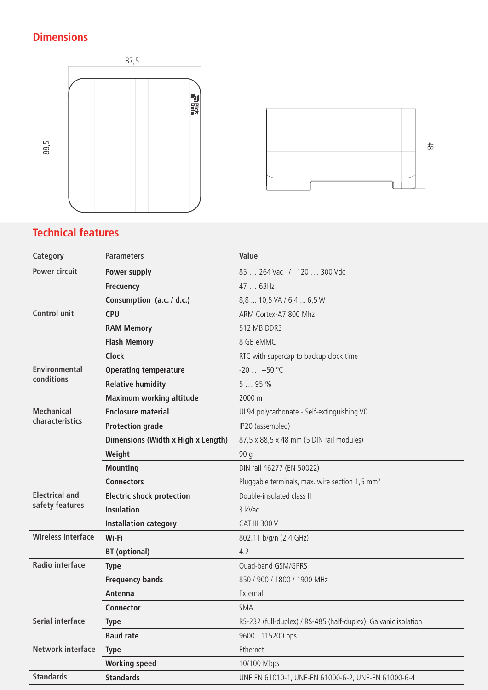## **Dimensions**





## **Technical features**

| Category                                 | <b>Parameters</b>                  | Value                                                           |
|------------------------------------------|------------------------------------|-----------------------------------------------------------------|
| <b>Power circuit</b>                     | Power supply                       | 85  264 Vac / 120  300 Vdc                                      |
|                                          | <b>Frecuency</b>                   | 47  63Hz                                                        |
|                                          | Consumption (a.c. / d.c.)          | 8,8  10,5 VA / 6,4  6,5 W                                       |
| <b>Control unit</b>                      | <b>CPU</b>                         | ARM Cortex-A7 800 Mhz                                           |
|                                          | <b>RAM Memory</b>                  | 512 MB DDR3                                                     |
|                                          | <b>Flash Memory</b>                | 8 GB eMMC                                                       |
|                                          | <b>Clock</b>                       | RTC with supercap to backup clock time                          |
| <b>Environmental</b><br>conditions       | <b>Operating temperature</b>       | $-20$ $+50$ °C                                                  |
|                                          | <b>Relative humidity</b>           | 595%                                                            |
|                                          | <b>Maximum working altitude</b>    | 2000 m                                                          |
| <b>Mechanical</b>                        | <b>Enclosure material</b>          | UL94 polycarbonate - Self-extinguishing V0                      |
| characteristics                          | <b>Protection grade</b>            | IP20 (assembled)                                                |
|                                          | Dimensions (Width x High x Length) | 87,5 x 88,5 x 48 mm (5 DIN rail modules)                        |
|                                          | Weight                             | 90q                                                             |
|                                          | <b>Mounting</b>                    | DIN rail 46277 (EN 50022)                                       |
|                                          | <b>Connectors</b>                  | Pluggable terminals, max. wire section 1,5 mm <sup>2</sup>      |
| <b>Electrical and</b><br>safety features | <b>Electric shock protection</b>   | Double-insulated class II                                       |
|                                          | <b>Insulation</b>                  | 3 kVac                                                          |
|                                          | <b>Installation category</b>       | <b>CAT III 300 V</b>                                            |
| <b>Wireless interface</b>                | Wi-Fi                              | 802.11 b/g/n (2.4 GHz)                                          |
|                                          | <b>BT</b> (optional)               | 4.2                                                             |
| <b>Radio interface</b>                   | <b>Type</b>                        | Quad-band GSM/GPRS                                              |
|                                          | <b>Frequency bands</b>             | 850 / 900 / 1800 / 1900 MHz                                     |
|                                          | Antenna                            | External                                                        |
|                                          | <b>Connector</b>                   | SMA                                                             |
| <b>Serial interface</b>                  | <b>Type</b>                        | RS-232 (full-duplex) / RS-485 (half-duplex). Galvanic isolation |
|                                          | <b>Baud rate</b>                   | 9600115200 bps                                                  |
| <b>Network interface</b>                 | <b>Type</b>                        | Ethernet                                                        |
|                                          | <b>Working speed</b>               | 10/100 Mbps                                                     |
| <b>Standards</b>                         | <b>Standards</b>                   | UNE EN 61010-1, UNE-EN 61000-6-2, UNE-EN 61000-6-4              |
|                                          |                                    |                                                                 |